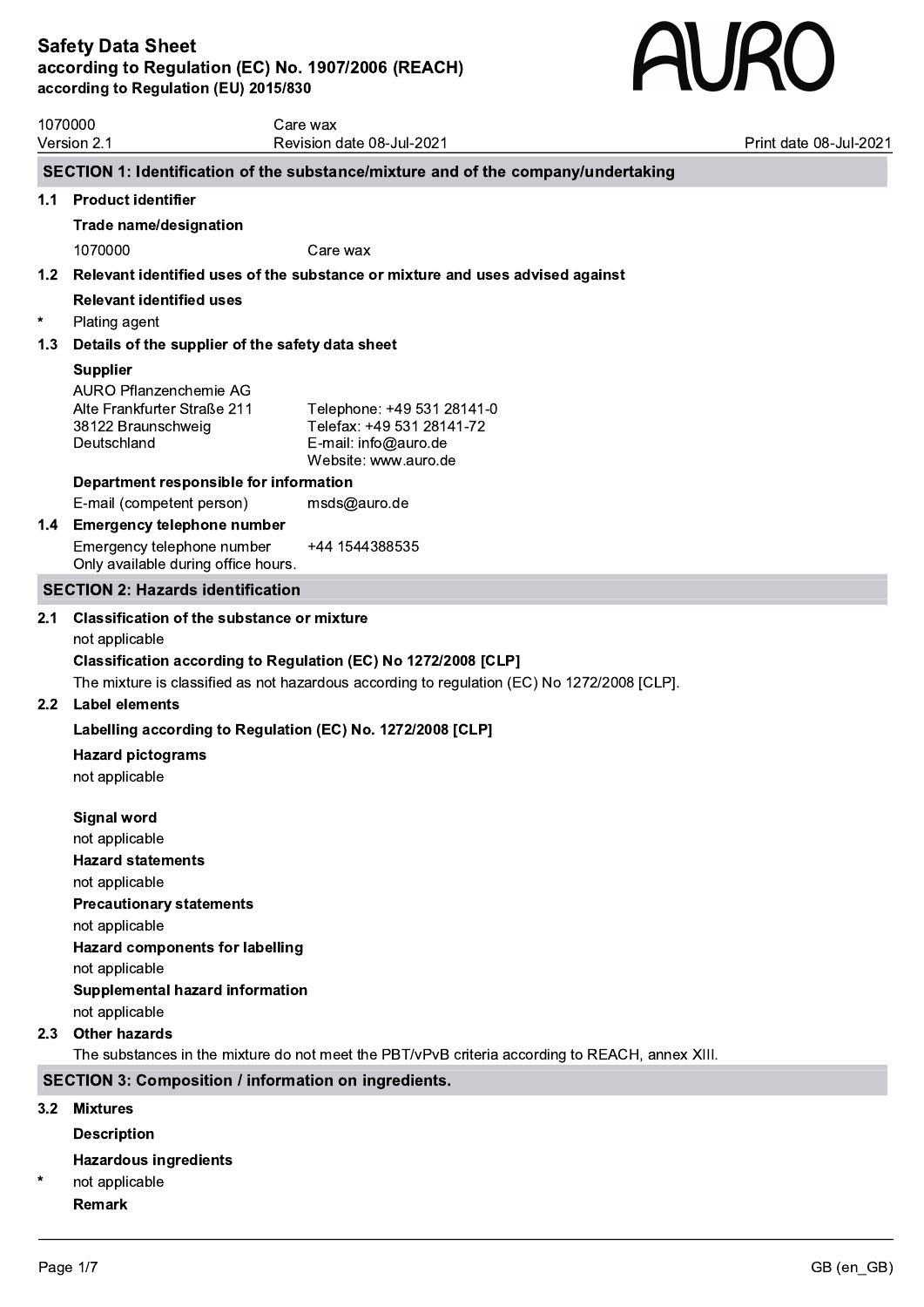# **AURO**

| 1070000<br>Version 2.1 |                                                                                                                                                                                                                                                                                                                                                       | Care wax<br>Revision date 08-Jul-2021                                                                                                                                                                                       | Print date 08-Jul-2021 |  |  |  |
|------------------------|-------------------------------------------------------------------------------------------------------------------------------------------------------------------------------------------------------------------------------------------------------------------------------------------------------------------------------------------------------|-----------------------------------------------------------------------------------------------------------------------------------------------------------------------------------------------------------------------------|------------------------|--|--|--|
|                        |                                                                                                                                                                                                                                                                                                                                                       |                                                                                                                                                                                                                             |                        |  |  |  |
|                        |                                                                                                                                                                                                                                                                                                                                                       | SECTION 1: Identification of the substance/mixture and of the company/undertaking                                                                                                                                           |                        |  |  |  |
| 1.1                    | <b>Product identifier</b>                                                                                                                                                                                                                                                                                                                             |                                                                                                                                                                                                                             |                        |  |  |  |
|                        | <b>Trade name/designation</b>                                                                                                                                                                                                                                                                                                                         |                                                                                                                                                                                                                             |                        |  |  |  |
|                        | 1070000                                                                                                                                                                                                                                                                                                                                               | Care wax                                                                                                                                                                                                                    |                        |  |  |  |
|                        |                                                                                                                                                                                                                                                                                                                                                       | 1.2 Relevant identified uses of the substance or mixture and uses advised against                                                                                                                                           |                        |  |  |  |
|                        | <b>Relevant identified uses</b>                                                                                                                                                                                                                                                                                                                       |                                                                                                                                                                                                                             |                        |  |  |  |
| $\ast$                 | Plating agent                                                                                                                                                                                                                                                                                                                                         |                                                                                                                                                                                                                             |                        |  |  |  |
| 1.3                    | Details of the supplier of the safety data sheet                                                                                                                                                                                                                                                                                                      |                                                                                                                                                                                                                             |                        |  |  |  |
|                        | <b>Supplier</b>                                                                                                                                                                                                                                                                                                                                       |                                                                                                                                                                                                                             |                        |  |  |  |
|                        | <b>AURO Pflanzenchemie AG</b><br>Alte Frankfurter Straße 211<br>38122 Braunschweig<br>Deutschland                                                                                                                                                                                                                                                     | Telephone: +49 531 28141-0<br>Telefax: +49 531 28141-72<br>E-mail: info@auro.de<br>Website: www.auro.de                                                                                                                     |                        |  |  |  |
|                        | Department responsible for information                                                                                                                                                                                                                                                                                                                |                                                                                                                                                                                                                             |                        |  |  |  |
|                        | E-mail (competent person)                                                                                                                                                                                                                                                                                                                             | msds@auro.de                                                                                                                                                                                                                |                        |  |  |  |
|                        | 1.4 Emergency telephone number                                                                                                                                                                                                                                                                                                                        |                                                                                                                                                                                                                             |                        |  |  |  |
|                        | Emergency telephone number<br>Only available during office hours.                                                                                                                                                                                                                                                                                     | +44 1544388535                                                                                                                                                                                                              |                        |  |  |  |
|                        | <b>SECTION 2: Hazards identification</b>                                                                                                                                                                                                                                                                                                              |                                                                                                                                                                                                                             |                        |  |  |  |
|                        | not applicable<br>2.2 Label elements<br><b>Hazard pictograms</b><br>not applicable<br><b>Signal word</b><br>not applicable<br><b>Hazard statements</b><br>not applicable<br><b>Precautionary statements</b><br>not applicable<br><b>Hazard components for labelling</b><br>not applicable<br><b>Supplemental hazard information</b><br>not applicable | Classification according to Regulation (EC) No 1272/2008 [CLP]<br>The mixture is classified as not hazardous according to regulation (EC) No 1272/2008 [CLP].<br>Labelling according to Regulation (EC) No. 1272/2008 [CLP] |                        |  |  |  |
| 2.3                    | <b>Other hazards</b>                                                                                                                                                                                                                                                                                                                                  |                                                                                                                                                                                                                             |                        |  |  |  |
|                        |                                                                                                                                                                                                                                                                                                                                                       | The substances in the mixture do not meet the PBT/vPvB criteria according to REACH, annex XIII.                                                                                                                             |                        |  |  |  |
|                        | <b>SECTION 3: Composition / information on ingredients.</b>                                                                                                                                                                                                                                                                                           |                                                                                                                                                                                                                             |                        |  |  |  |
| 3.2                    | <b>Mixtures</b>                                                                                                                                                                                                                                                                                                                                       |                                                                                                                                                                                                                             |                        |  |  |  |
|                        |                                                                                                                                                                                                                                                                                                                                                       |                                                                                                                                                                                                                             |                        |  |  |  |
|                        | <b>Description</b>                                                                                                                                                                                                                                                                                                                                    |                                                                                                                                                                                                                             |                        |  |  |  |
|                        | <b>Hazardous ingredients</b>                                                                                                                                                                                                                                                                                                                          |                                                                                                                                                                                                                             |                        |  |  |  |

\* not applicable Remark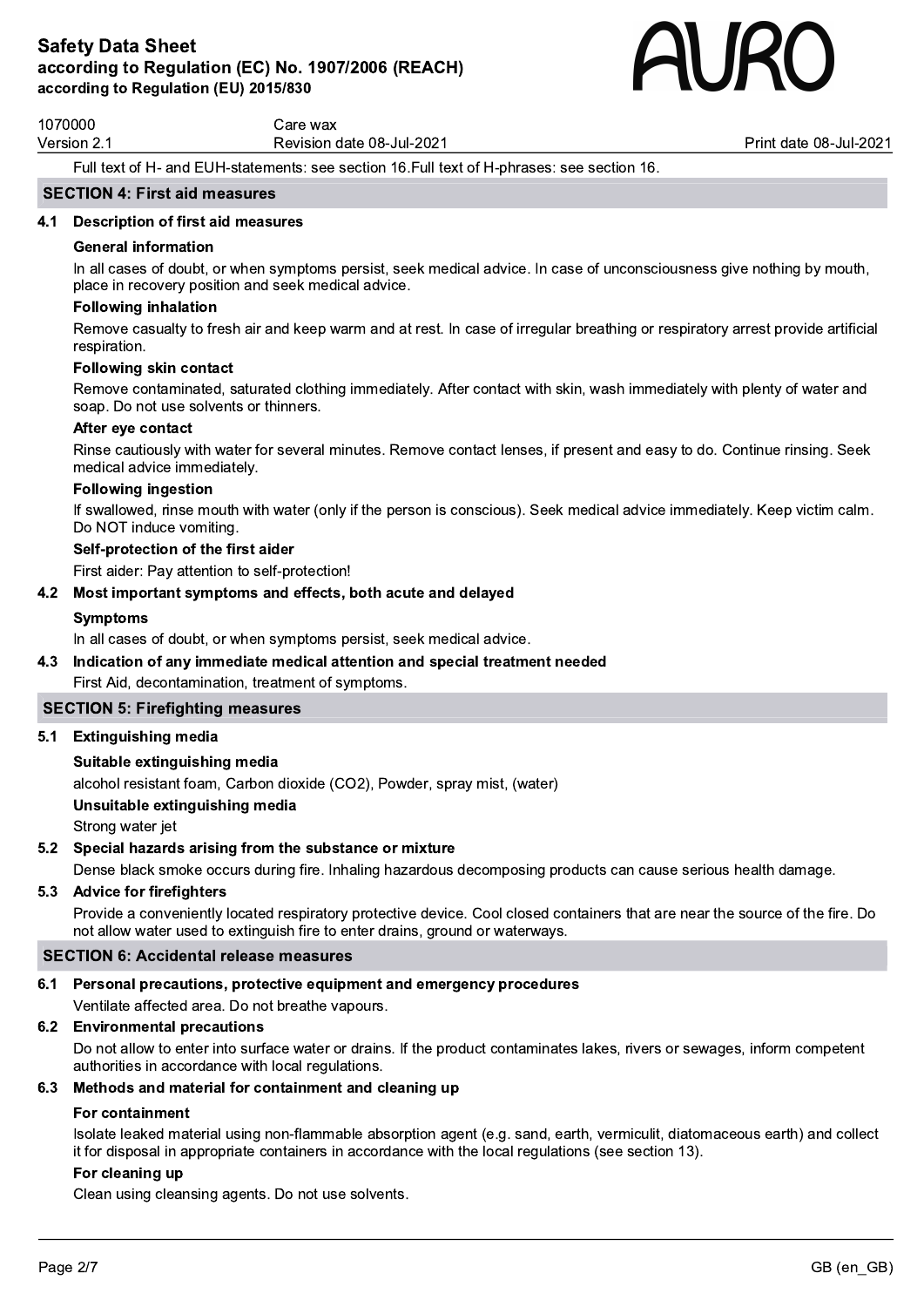

1070000 Care wax

Version 2.1 Contract Contract Revision date 08-Jul-2021 Contract Contract Print date 08-Jul-2021

Full text of H- and EUH-statements: see section 16.Full text of H-phrases: see section 16.

### SECTION 4: First aid measures

### 4.1 Description of first aid measures

### General information

In all cases of doubt, or when symptoms persist, seek medical advice. In case of unconsciousness give nothing by mouth, place in recovery position and seek medical advice.

### Following inhalation

Remove casualty to fresh air and keep warm and at rest. In case of irregular breathing or respiratory arrest provide artificial respiration.

### Following skin contact

Remove contaminated, saturated clothing immediately. After contact with skin, wash immediately with plenty of water and soap. Do not use solvents or thinners.

### After eye contact

Rinse cautiously with water for several minutes. Remove contact lenses, if present and easy to do. Continue rinsing. Seek medical advice immediately.

### Following ingestion

If swallowed, rinse mouth with water (only if the person is conscious). Seek medical advice immediately. Keep victim calm. Do NOT induce vomiting.

### Self-protection of the first aider

First aider: Pay attention to self-protection!

### 4.2 Most important symptoms and effects, both acute and delayed

### Symptoms

In all cases of doubt, or when symptoms persist, seek medical advice.

### 4.3 Indication of any immediate medical attention and special treatment needed

First Aid, decontamination, treatment of symptoms.

### SECTION 5: Firefighting measures

5.1 Extinguishing media

### Suitable extinguishing media

alcohol resistant foam, Carbon dioxide (CO2), Powder, spray mist, (water)

### Unsuitable extinguishing media

Strong water jet

### 5.2 Special hazards arising from the substance or mixture

Dense black smoke occurs during fire. Inhaling hazardous decomposing products can cause serious health damage.

### 5.3 Advice for firefighters

Provide a conveniently located respiratory protective device. Cool closed containers that are near the source of the fire. Do not allow water used to extinguish fire to enter drains, ground or waterways.

### SECTION 6: Accidental release measures

# 6.1 Personal precautions, protective equipment and emergency procedures

Ventilate affected area. Do not breathe vapours.

# 6.2 Environmental precautions

Do not allow to enter into surface water or drains. If the product contaminates lakes, rivers or sewages, inform competent authorities in accordance with local regulations.

### 6.3 Methods and material for containment and cleaning up

### For containment

Isolate leaked material using non-flammable absorption agent (e.g. sand, earth, vermiculit, diatomaceous earth) and collect it for disposal in appropriate containers in accordance with the local regulations (see section 13).

### For cleaning up

Clean using cleansing agents. Do not use solvents.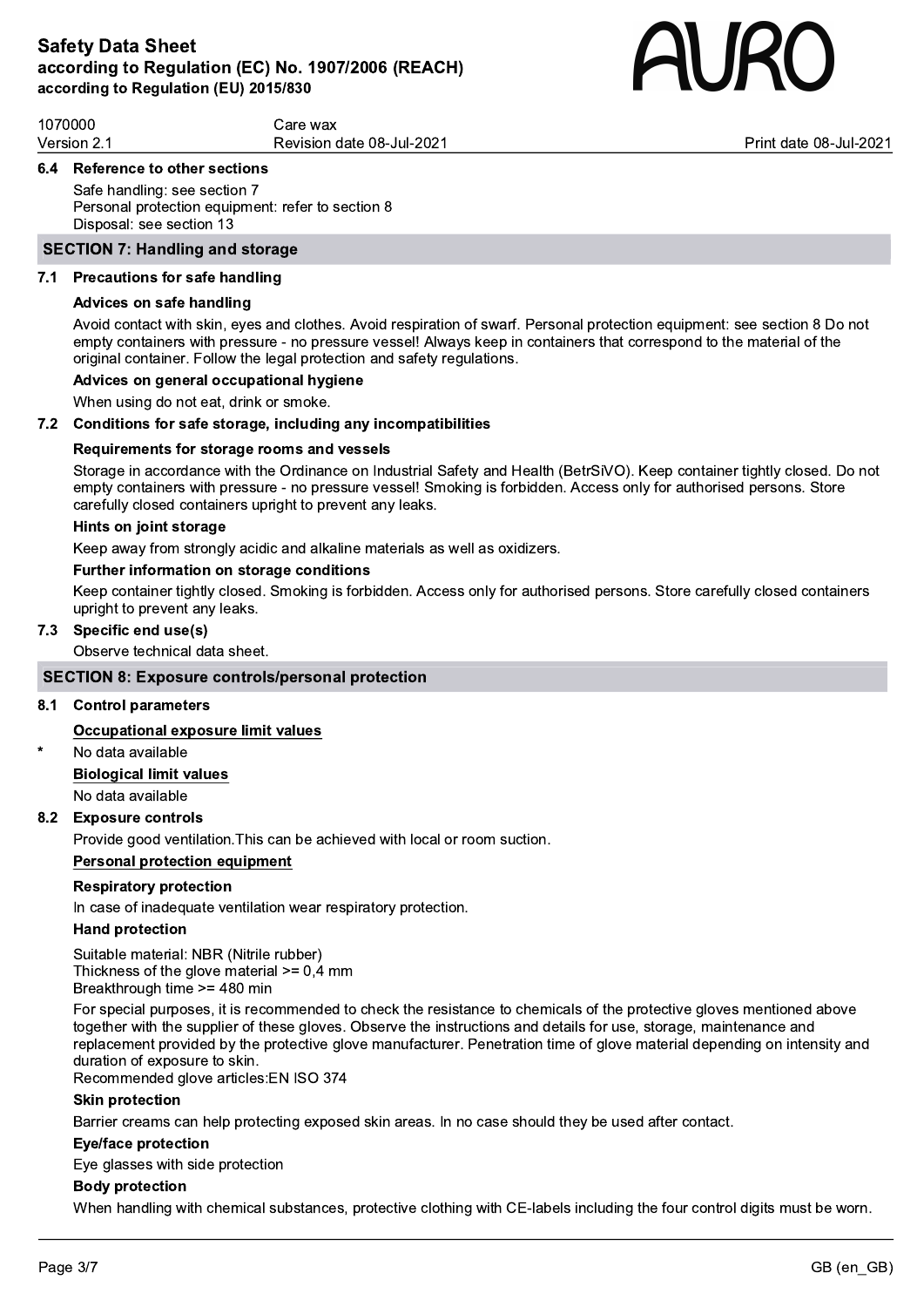

1070000 Care wax Version 2.1 **Print date 19th Concernsive Concernsive Concernsive Concernsive Concernsive Concernsive Concernsive Concernsive Concernsive Print date 08-Jul-2021** 

### 6.4 Reference to other sections

Safe handling: see section 7 Personal protection equipment: refer to section 8 Disposal: see section 13

### SECTION 7: Handling and storage

### 7.1 Precautions for safe handling

### Advices on safe handling

Avoid contact with skin, eyes and clothes. Avoid respiration of swarf. Personal protection equipment: see section 8 Do not empty containers with pressure - no pressure vessel! Always keep in containers that correspond to the material of the original container. Follow the legal protection and safety regulations.

# Advices on general occupational hygiene

When using do not eat, drink or smoke.

### 7.2 Conditions for safe storage, including any incompatibilities

### Requirements for storage rooms and vessels

Storage in accordance with the Ordinance on Industrial Safety and Health (BetrSiVO). Keep container tightly closed. Do not empty containers with pressure - no pressure vessel! Smoking is forbidden. Access only for authorised persons. Store carefully closed containers upright to prevent any leaks.

### Hints on joint storage

Keep away from strongly acidic and alkaline materials as well as oxidizers.

### Further information on storage conditions

Keep container tightly closed. Smoking is forbidden. Access only for authorised persons. Store carefully closed containers upright to prevent any leaks.

### 7.3 Specific end use(s)

Observe technical data sheet.

### SECTION 8: Exposure controls/personal protection

### 8.1 Control parameters

### Occupational exposure limit values

No data available

Biological limit values No data available

### 8.2 Exposure controls

Provide good ventilation.This can be achieved with local or room suction.

### Personal protection equipment

### Respiratory protection

In case of inadequate ventilation wear respiratory protection.

### Hand protection

Suitable material: NBR (Nitrile rubber) Thickness of the glove material  $>= 0.4$  mm Breakthrough time >= 480 min

For special purposes, it is recommended to check the resistance to chemicals of the protective gloves mentioned above together with the supplier of these gloves. Observe the instructions and details for use, storage, maintenance and replacement provided by the protective glove manufacturer. Penetration time of glove material depending on intensity and duration of exposure to skin.

Recommended glove articles:EN ISO 374

### Skin protection

Barrier creams can help protecting exposed skin areas. In no case should they be used after contact.

### Eye/face protection

Eye glasses with side protection

### Body protection

When handling with chemical substances, protective clothing with CE-labels including the four control digits must be worn.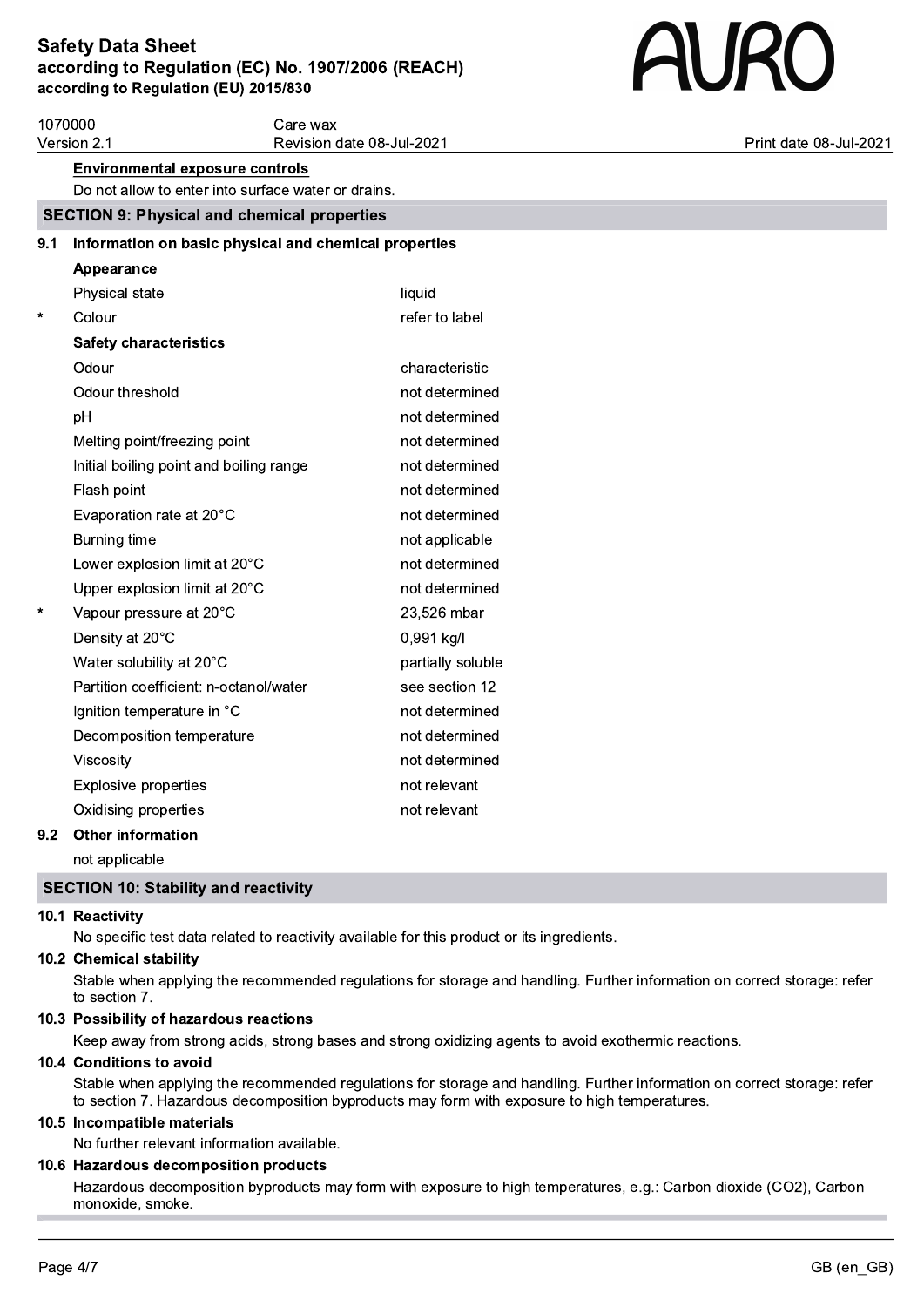# **AURO**

|         | 1070000<br>Care wax                                   |                           |                        |  |  |
|---------|-------------------------------------------------------|---------------------------|------------------------|--|--|
|         | Version 2.1                                           | Revision date 08-Jul-2021 | Print date 08-Jul-2021 |  |  |
|         | <b>Environmental exposure controls</b>                |                           |                        |  |  |
|         | Do not allow to enter into surface water or drains.   |                           |                        |  |  |
|         | <b>SECTION 9: Physical and chemical properties</b>    |                           |                        |  |  |
| 9.1     | Information on basic physical and chemical properties |                           |                        |  |  |
|         | Appearance                                            |                           |                        |  |  |
|         | Physical state                                        | liquid                    |                        |  |  |
| $\star$ | Colour                                                | refer to label            |                        |  |  |
|         | <b>Safety characteristics</b>                         |                           |                        |  |  |
|         | Odour                                                 | characteristic            |                        |  |  |
|         | Odour threshold                                       | not determined            |                        |  |  |
|         | pH                                                    | not determined            |                        |  |  |
|         | Melting point/freezing point                          | not determined            |                        |  |  |
|         | Initial boiling point and boiling range               | not determined            |                        |  |  |
|         | Flash point                                           | not determined            |                        |  |  |
|         | Evaporation rate at 20°C                              | not determined            |                        |  |  |
|         | Burning time                                          | not applicable            |                        |  |  |
|         | Lower explosion limit at 20°C                         | not determined            |                        |  |  |
|         | Upper explosion limit at 20°C                         | not determined            |                        |  |  |
| $\star$ | Vapour pressure at 20°C                               | 23,526 mbar               |                        |  |  |
|         | Density at 20°C                                       | 0,991 kg/l                |                        |  |  |
|         | Water solubility at 20°C                              | partially soluble         |                        |  |  |
|         | Partition coefficient: n-octanol/water                | see section 12            |                        |  |  |
|         | Ignition temperature in °C                            | not determined            |                        |  |  |
|         | Decomposition temperature                             | not determined            |                        |  |  |
|         | Viscosity                                             | not determined            |                        |  |  |
|         | <b>Explosive properties</b>                           | not relevant              |                        |  |  |
|         | Oxidising properties                                  | not relevant              |                        |  |  |
| 92.     | Other information                                     |                           |                        |  |  |

### 9.2 Other information

not applicable

### SECTION 10: Stability and reactivity

### 10.1 Reactivity

No specific test data related to reactivity available for this product or its ingredients.

# 10.2 Chemical stability

Stable when applying the recommended regulations for storage and handling. Further information on correct storage: refer to section 7.

### 10.3 Possibility of hazardous reactions

Keep away from strong acids, strong bases and strong oxidizing agents to avoid exothermic reactions.

### 10.4 Conditions to avoid

Stable when applying the recommended regulations for storage and handling. Further information on correct storage: refer to section 7. Hazardous decomposition byproducts may form with exposure to high temperatures.

### 10.5 Incompatible materials

No further relevant information available.

# 10.6 Hazardous decomposition products

Hazardous decomposition byproducts may form with exposure to high temperatures, e.g.: Carbon dioxide (CO2), Carbon monoxide, smoke.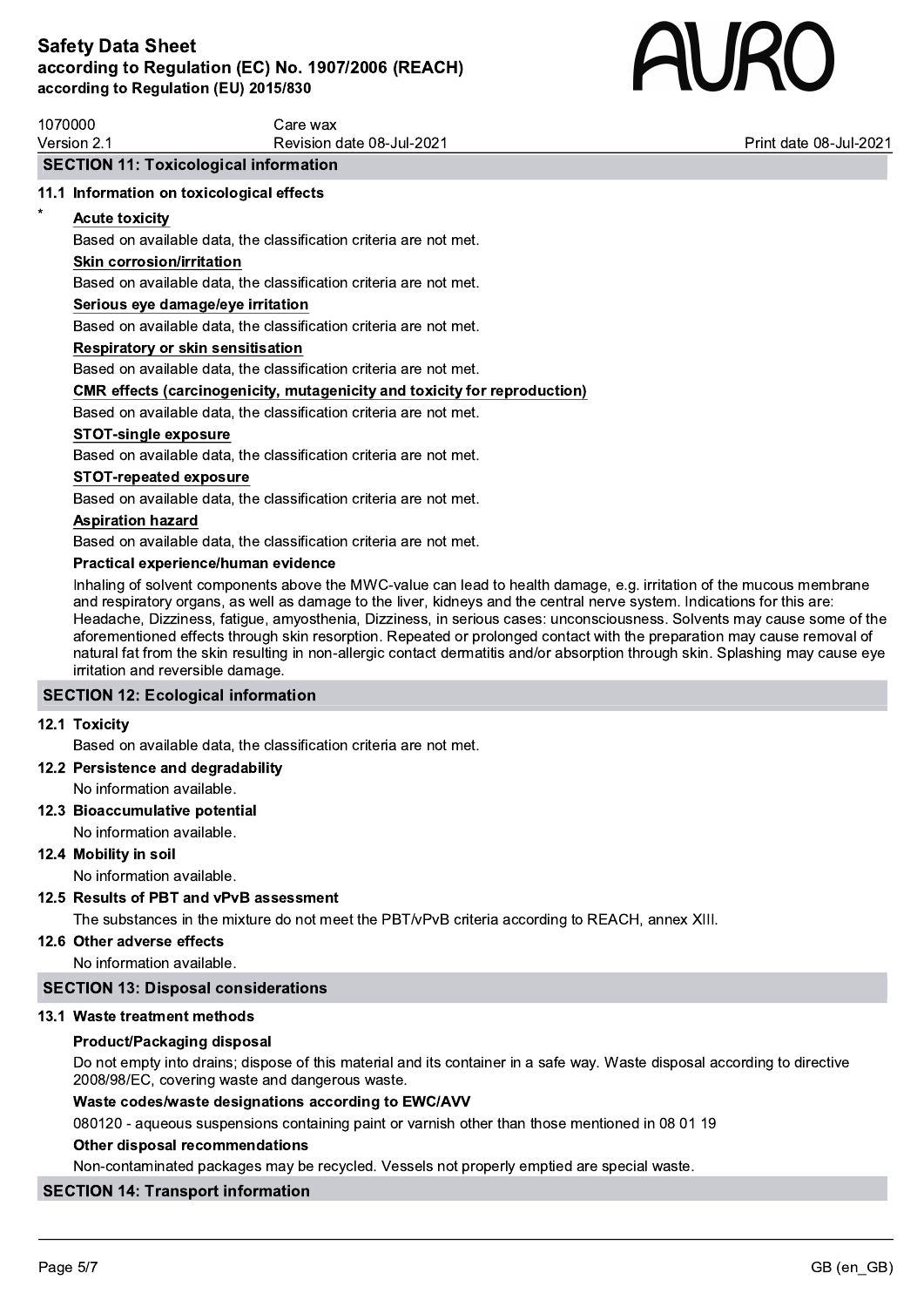

| 1070000   | Care wax                          |                             |
|-----------|-----------------------------------|-----------------------------|
| Version 2 | date 08-Jul-2021 date<br>Revision | t date 08-Jul-2021<br>Print |

### SECTION 11: Toxicological information

### 11.1 Information on toxicological effects

### **Acute toxicity**

Based on available data, the classification criteria are not met.

### Skin corrosion/irritation

Based on available data, the classification criteria are not met.

### Serious eye damage/eye irritation

Based on available data, the classification criteria are not met.

### Respiratory or skin sensitisation

Based on available data, the classification criteria are not met.

### CMR effects (carcinogenicity, mutagenicity and toxicity for reproduction)

Based on available data, the classification criteria are not met.

### STOT-single exposure

Based on available data, the classification criteria are not met.

### STOT-repeated exposure

Based on available data, the classification criteria are not met.

### Aspiration hazard

Based on available data, the classification criteria are not met.

### Practical experience/human evidence

Inhaling of solvent components above the MWC-value can lead to health damage, e.g. irritation of the mucous membrane and respiratory organs, as well as damage to the liver, kidneys and the central nerve system. Indications for this are: Headache, Dizziness, fatigue, amyosthenia, Dizziness, in serious cases: unconsciousness. Solvents may cause some of the aforementioned effects through skin resorption. Repeated or prolonged contact with the preparation may cause removal of natural fat from the skin resulting in non-allergic contact dermatitis and/or absorption through skin. Splashing may cause eye irritation and reversible damage.

### SECTION 12: Ecological information

### 12.1 Toxicity

Based on available data, the classification criteria are not met.

### 12.2 Persistence and degradability

No information available.

### 12.3 Bioaccumulative potential No information available.

12.4 Mobility in soil

No information available.

### 12.5 Results of PBT and vPvB assessment

The substances in the mixture do not meet the PBT/vPvB criteria according to REACH, annex XIII.

### 12.6 Other adverse effects

No information available.

### SECTION 13: Disposal considerations

### 13.1 Waste treatment methods

### Product/Packaging disposal

Do not empty into drains; dispose of this material and its container in a safe way. Waste disposal according to directive 2008/98/EC, covering waste and dangerous waste.

### Waste codes/waste designations according to EWC/AVV

080120 - aqueous suspensions containing paint or varnish other than those mentioned in 08 01 19

### Other disposal recommendations

Non-contaminated packages may be recycled. Vessels not properly emptied are special waste.

# SECTION 14: Transport information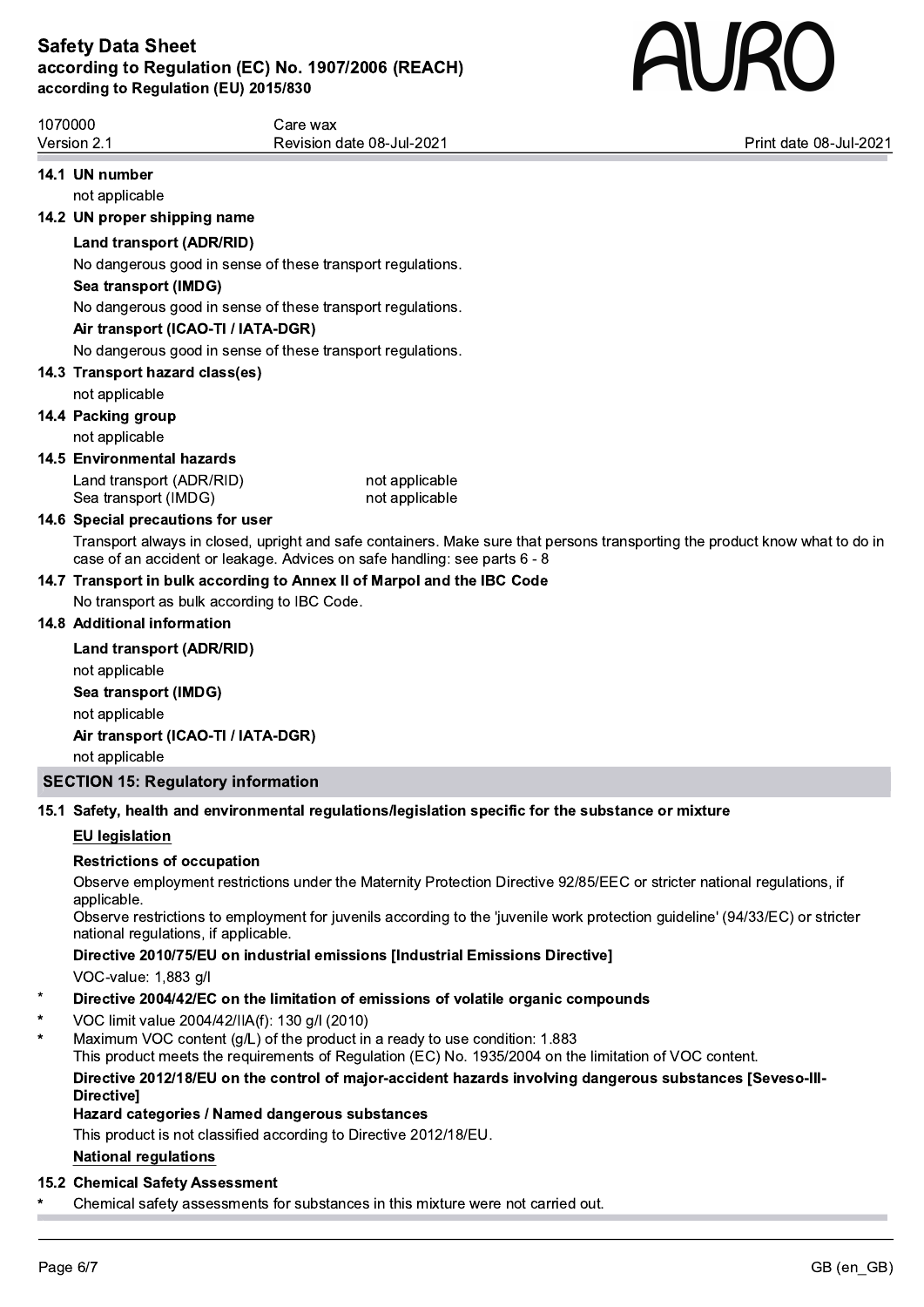

1070000 Care wax Version 2.1 **Print date 08-Jul-2021** Revision date 08-Jul-2021 **Print date 08-Jul-2021** Print date 08-Jul-2021 14.1 UN number not applicable 14.2 UN proper shipping name Land transport (ADR/RID) No dangerous good in sense of these transport regulations. Sea transport (IMDG) No dangerous good in sense of these transport regulations.

### Air transport (ICAO-TI / IATA-DGR)

No dangerous good in sense of these transport regulations.

### 14.3 Transport hazard class(es)

not applicable

### 14.4 Packing group

not applicable

### 14.5 Environmental hazards

Land transport (ADR/RID) not applicable Sea transport (IMDG) not applicable

### 14.6 Special precautions for user

Transport always in closed, upright and safe containers. Make sure that persons transporting the product know what to do in case of an accident or leakage. Advices on safe handling: see parts 6 - 8

### 14.7 Transport in bulk according to Annex II of Marpol and the IBC Code

No transport as bulk according to IBC Code.

### 14.8 Additional information

Land transport (ADR/RID) not applicable Sea transport (IMDG) not applicable Air transport (ICAO-TI / IATA-DGR) not applicable SECTION 15: Regulatory information

# 15.1 Safety, health and environmental regulations/legislation specific for the substance or mixture

# EU legislation

### Restrictions of occupation

Observe employment restrictions under the Maternity Protection Directive 92/85/EEC or stricter national regulations, if

applicable.<br>Observe restrictions to employment for juvenils according to the 'juvenile work protection guideline' (94/33/EC) or stricter national regulations, if applicable.

Directive 2010/75/EU on industrial emissions [Industrial Emissions Directive]

VOC-value: 1,883 g/l

- Directive 2004/42/EC on the limitation of emissions of volatile organic compounds
- \* VOC limit value 2004/42/IIA(f): 130 g/l (2010)
- Maximum VOC content (g/L) of the product in a ready to use condition: 1.883

This product meets the requirements of Regulation (EC) No. 1935/2004 on the limitation of VOC content.

Directive 2012/18/EU on the control of major-accident hazards involving dangerous substances [Seveso-III-

### Directive] Hazard categories / Named dangerous substances

This product is not classified according to Directive 2012/18/EU.

### National regulations

### 15.2 Chemical Safety Assessment

Chemical safety assessments for substances in this mixture were not carried out.